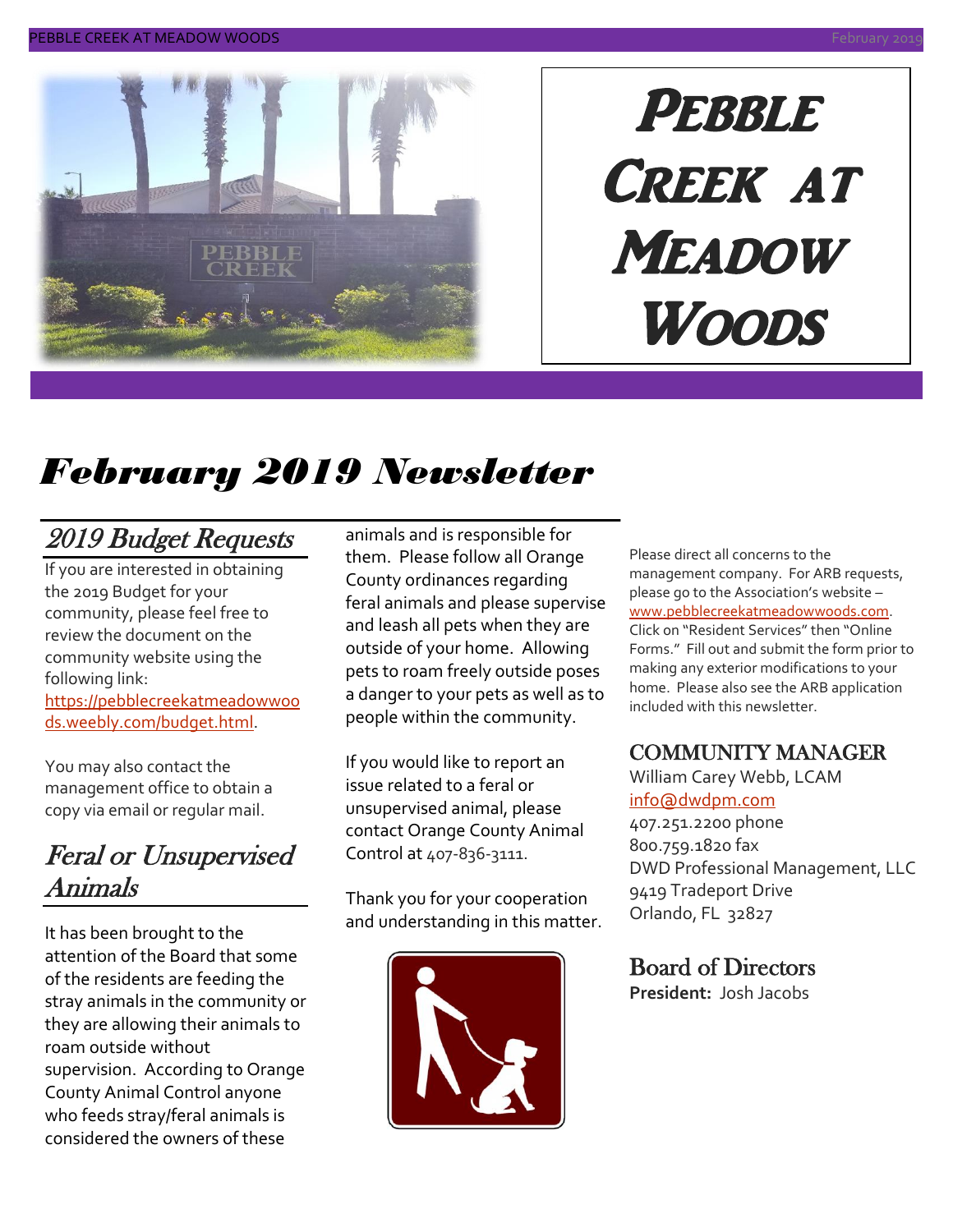

# PEBBLE CREEK AT **MEADOW** Woods

# *February 2019 Newsletter*

# 2019 Budget Requests

If you are interested in obtaining the 2019 Budget for your community, please feel free to review the document on the community website using the following link:

[https://pebblecreekatmeadowwoo](https://pebblecreekatmeadowwoods.weebly.com/budget.html) [ds.weebly.com/budget.html.](https://pebblecreekatmeadowwoods.weebly.com/budget.html)

You may also contact the management office to obtain a copy via email or regular mail.

### Feral or Unsupervised Animals

It has been brought to the attention of the Board that some of the residents are feeding the stray animals in the community or they are allowing their animals to roam outside without supervision. According to Orange County Animal Control anyone who feeds stray/feral animals is considered the owners of these

animals and is responsible for them. Please follow all Orange County ordinances regarding feral animals and please supervise and leash all pets when they are outside of your home. Allowing pets to roam freely outside poses a danger to your pets as well as to people within the community.

If you would like to report an issue related to a feral or unsupervised animal, please contact Orange County Animal Control at 407-836-3111.

Thank you for your cooperation and understanding in this matter.



Please direct all concerns to the management company. For ARB requests, please go to the Association's website – [www.pebblecreekatmeadowwoods.com.](http://www.pebblecreekatmeadowwoods.com/) Click on "Resident Services" then "Online Forms." Fill out and submit the form prior to making any exterior modifications to your home. Please also see the ARB application included with this newsletter.

### COMMUNITY MANAGER

William Carey Webb, LCAM [info@dwdpm.com](mailto:info@dwdpm.com)  407.251.2200 phone 800.759.1820 fax DWD Professional Management, LLC 9419 Tradeport Drive

### Board of Directors

Orlando, FL 32827

**President:** Josh Jacobs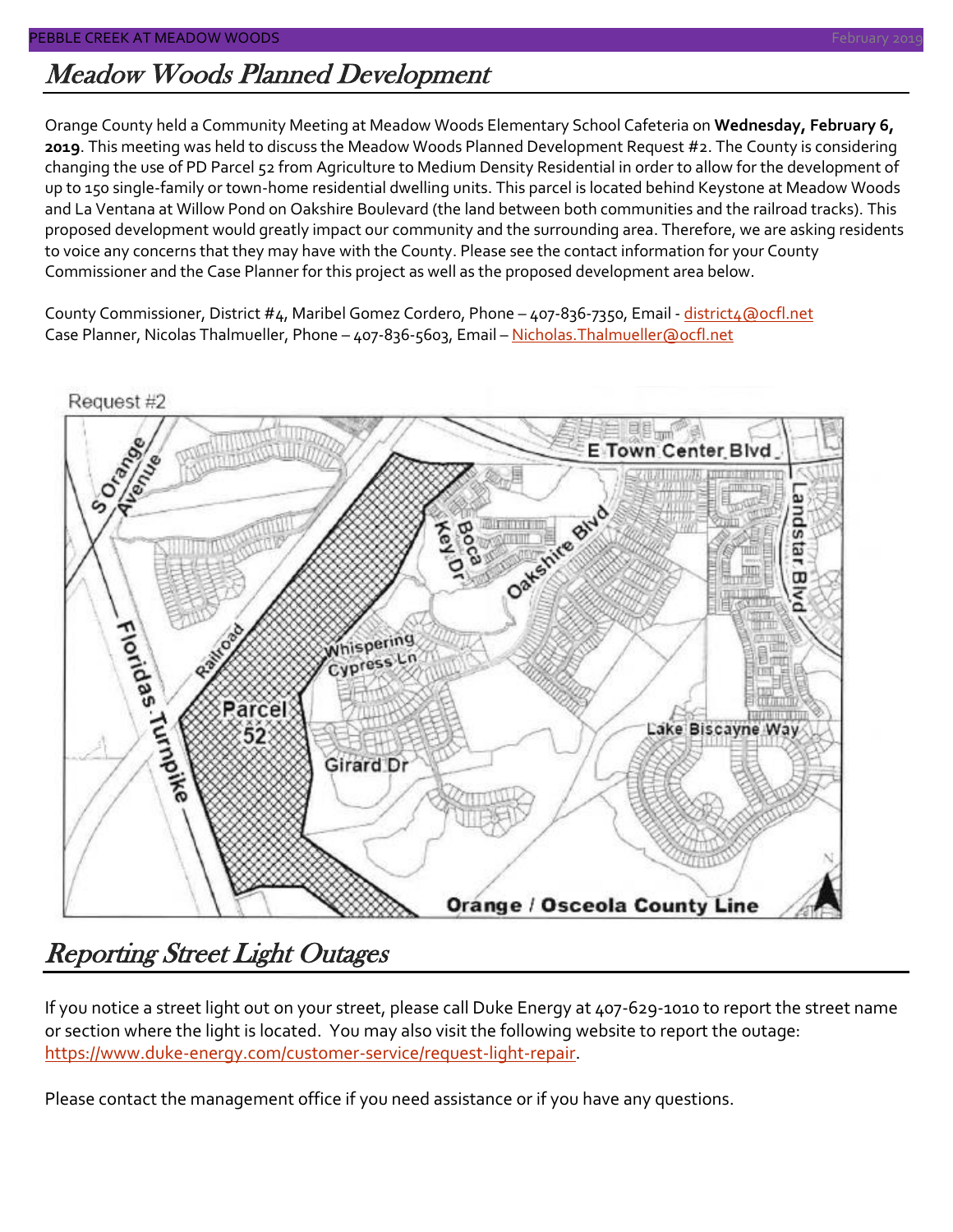# Meadow Woods Planned Development

Orange County held a Community Meeting at Meadow Woods Elementary School Cafeteria on **Wednesday, February 6, 2019**. This meeting was held to discuss the Meadow Woods Planned Development Request #2. The County is considering changing the use of PD Parcel 52 from Agriculture to Medium Density Residential in order to allow for the development of up to 150 single-family or town-home residential dwelling units. This parcel is located behind Keystone at Meadow Woods and La Ventana at Willow Pond on Oakshire Boulevard (the land between both communities and the railroad tracks). This proposed development would greatly impact our community and the surrounding area. Therefore, we are asking residents to voice any concerns that they may have with the County. Please see the contact information for your County Commissioner and the Case Planner for this project as well as the proposed development area below.

County Commissioner, District #4, Maribel Gomez Cordero, Phone - 407-836-7350, Email - [district4@ocfl.net](mailto:district4@ocfl.net) Case Planner, Nicolas Thalmueller, Phone - 407-836-5603, Email - Nicholas. Thalmueller@ocfl.net



# Reporting Street Light Outages

If you notice a street light out on your street, please call Duke Energy at 407-629-1010 to report the street name or section where the light is located. You may also visit the following website to report the outage: [https://www.duke-energy.com/customer-service/request-light-repair.](https://www.duke-energy.com/customer-service/request-light-repair)

Please contact the management office if you need assistance or if you have any questions.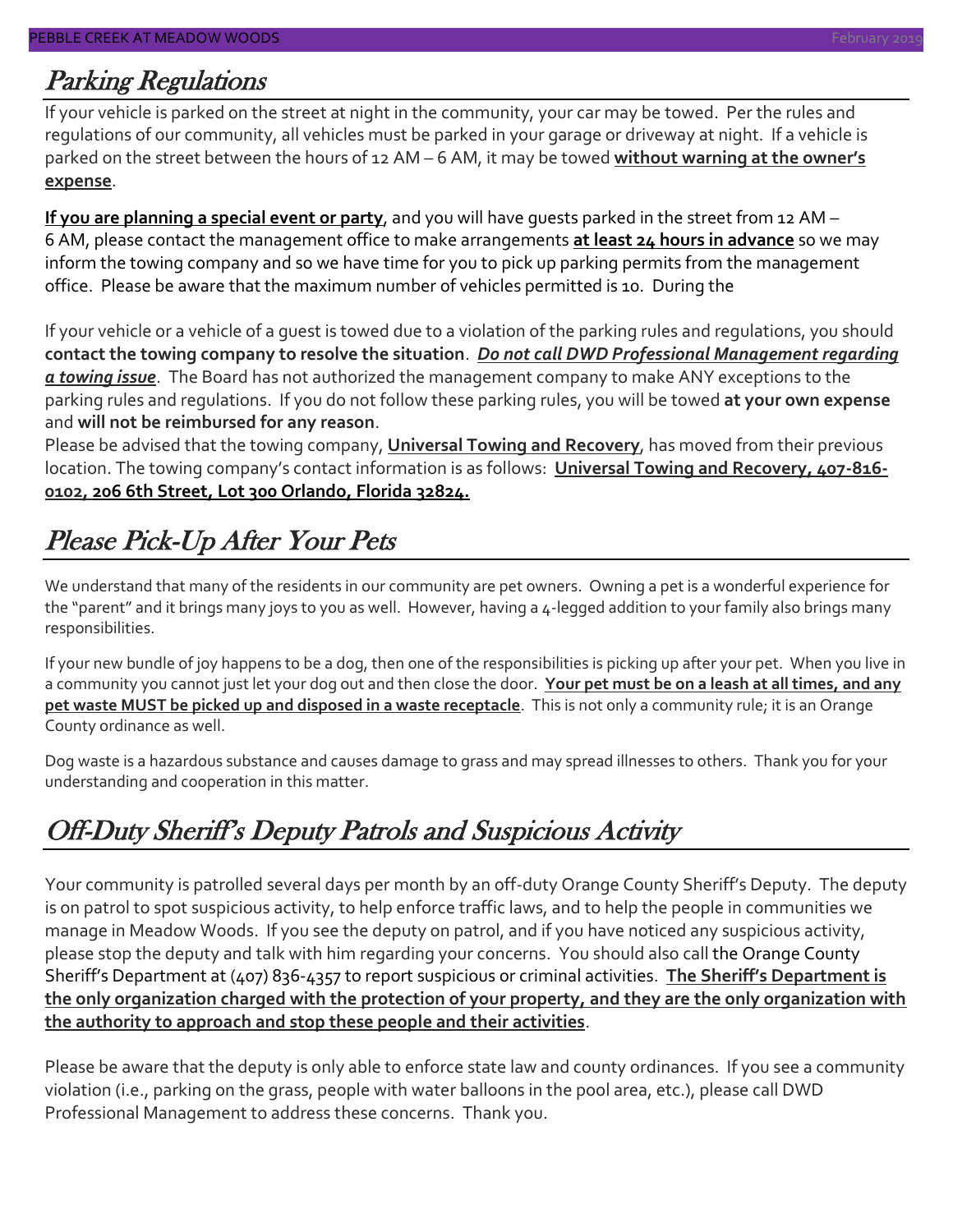### Parking Regulations

If your vehicle is parked on the street at night in the community, your car may be towed. Per the rules and regulations of our community, all vehicles must be parked in your garage or driveway at night. If a vehicle is parked on the street between the hours of 12 AM – 6 AM, it may be towed **without warning at the owner's expense**.

**If you are planning a special event or party**, and you will have guests parked in the street from 12 AM – 6 AM, please contact the management office to make arrangements **at least 24 hours in advance** so we may inform the towing company and so we have time for you to pick up parking permits from the management office. Please be aware that the maximum number of vehicles permitted is 10. During the

If your vehicle or a vehicle of a guest is towed due to a violation of the parking rules and regulations, you should **contact the towing company to resolve the situation**. *Do not call DWD Professional Management regarding a towing issue*. The Board has not authorized the management company to make ANY exceptions to the parking rules and regulations. If you do not follow these parking rules, you will be towed **at your own expense** and **will not be reimbursed for any reason**.

Please be advised that the towing company, **Universal Towing and Recovery**, has moved from their previous location. The towing company's contact information is as follows: **Universal Towing and Recovery, 407-816- 0102, 206 6th Street, Lot 300 Orlando, Florida 32824.**

# Please Pick-Up After Your Pets

We understand that many of the residents in our community are pet owners. Owning a pet is a wonderful experience for the "parent" and it brings many joys to you as well. However, having a 4-legged addition to your family also brings many responsibilities.

If your new bundle of joy happens to be a dog, then one of the responsibilities is picking up after your pet. When you live in a community you cannot just let your dog out and then close the door. **Your pet must be on a leash at all times, and any pet waste MUST be picked up and disposed in a waste receptacle**. This is not only a community rule; it is an Orange County ordinance as well.

Dog waste is a hazardous substance and causes damage to grass and may spread illnesses to others. Thank you for your understanding and cooperation in this matter.

# Off-Duty Sheriff's Deputy Patrols and Suspicious Activity

Your community is patrolled several days per month by an off-duty Orange County Sheriff's Deputy. The deputy is on patrol to spot suspicious activity, to help enforce traffic laws, and to help the people in communities we manage in Meadow Woods. If you see the deputy on patrol, and if you have noticed any suspicious activity, please stop the deputy and talk with him regarding your concerns. You should also call the Orange County Sheriff's Department at (407) 836-4357 to report suspicious or criminal activities. **The Sheriff's Department is the only organization charged with the protection of your property, and they are the only organization with the authority to approach and stop these people and their activities**.

Please be aware that the deputy is only able to enforce state law and county ordinances. If you see a community violation (i.e., parking on the grass, people with water balloons in the pool area, etc.), please call DWD Professional Management to address these concerns. Thank you.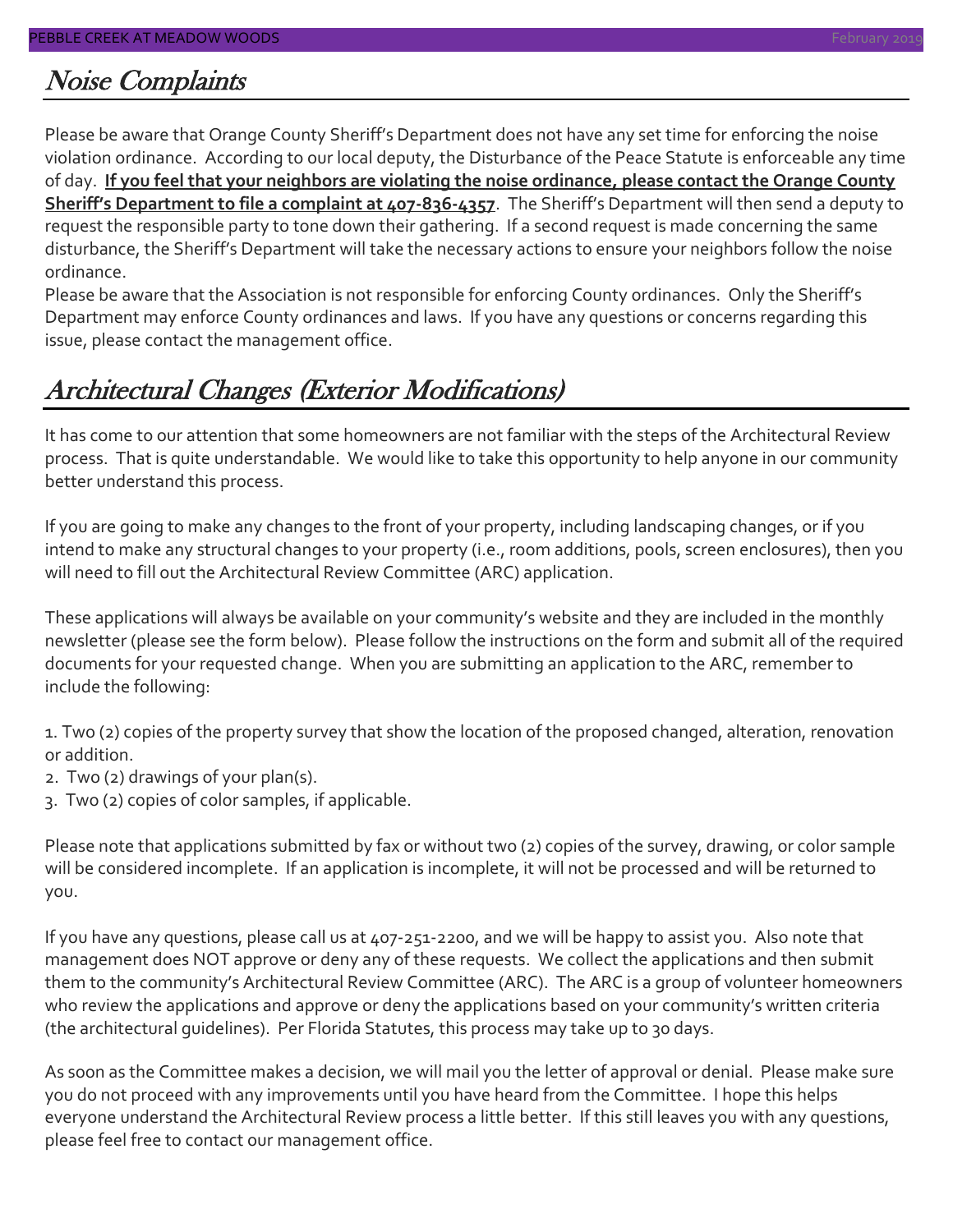### Noise Complaints

Please be aware that Orange County Sheriff's Department does not have any set time for enforcing the noise violation ordinance. According to our local deputy, the Disturbance of the Peace Statute is enforceable any time of day. **If you feel that your neighbors are violating the noise ordinance, please contact the Orange County Sheriff's Department to file a complaint at 407-836-4357**. The Sheriff's Department will then send a deputy to request the responsible party to tone down their gathering. If a second request is made concerning the same disturbance, the Sheriff's Department will take the necessary actions to ensure your neighbors follow the noise ordinance.

Please be aware that the Association is not responsible for enforcing County ordinances. Only the Sheriff's Department may enforce County ordinances and laws. If you have any questions or concerns regarding this issue, please contact the management office.

### Architectural Changes (Exterior Modifications)

It has come to our attention that some homeowners are not familiar with the steps of the Architectural Review process. That is quite understandable. We would like to take this opportunity to help anyone in our community better understand this process.

If you are going to make any changes to the front of your property, including landscaping changes, or if you intend to make any structural changes to your property (i.e., room additions, pools, screen enclosures), then you will need to fill out the Architectural Review Committee (ARC) application.

These applications will always be available on your community's website and they are included in the monthly newsletter (please see the form below). Please follow the instructions on the form and submit all of the required documents for your requested change. When you are submitting an application to the ARC, remember to include the following:

1. Two (2) copies of the property survey that show the location of the proposed changed, alteration, renovation or addition.

- 2. Two (2) drawings of your plan(s).
- 3. Two (2) copies of color samples, if applicable.

Please note that applications submitted by fax or without two (2) copies of the survey, drawing, or color sample will be considered incomplete. If an application is incomplete, it will not be processed and will be returned to you.

If you have any questions, please call us at 407-251-2200, and we will be happy to assist you. Also note that management does NOT approve or deny any of these requests. We collect the applications and then submit them to the community's Architectural Review Committee (ARC). The ARC is a group of volunteer homeowners who review the applications and approve or deny the applications based on your community's written criteria (the architectural guidelines). Per Florida Statutes, this process may take up to 30 days.

As soon as the Committee makes a decision, we will mail you the letter of approval or denial. Please make sure you do not proceed with any improvements until you have heard from the Committee. I hope this helps everyone understand the Architectural Review process a little better. If this still leaves you with any questions, please feel free to contact our management office.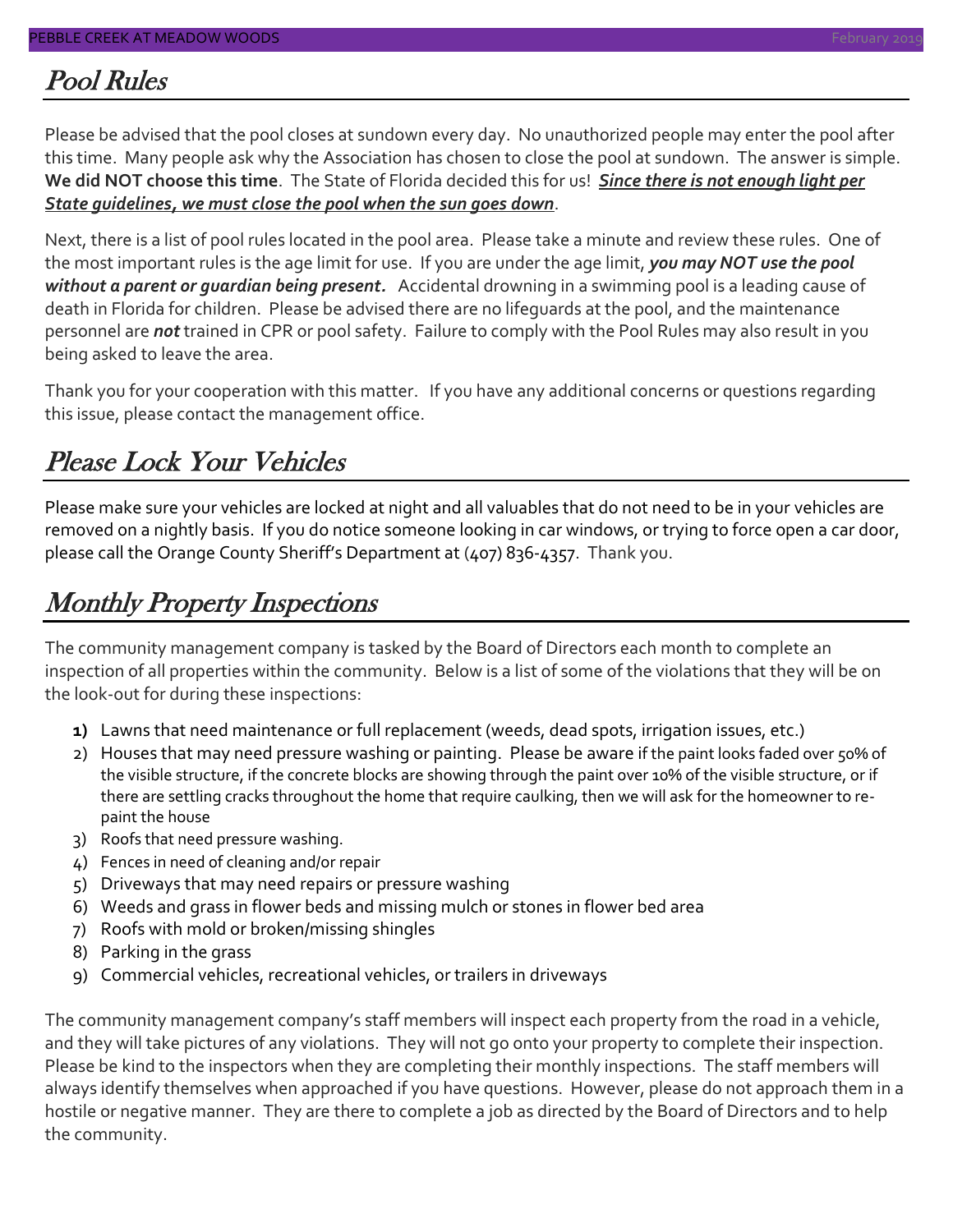### Pool Rules

Please be advised that the pool closes at sundown every day. No unauthorized people may enter the pool after this time. Many people ask why the Association has chosen to close the pool at sundown. The answer is simple. **We did NOT choose this time**. The State of Florida decided this for us! *Since there is not enough light per State guidelines, we must close the pool when the sun goes down*.

Next, there is a list of pool rules located in the pool area. Please take a minute and review these rules. One of the most important rules is the age limit for use. If you are under the age limit, *you may NOT use the pool without a parent or guardian being present.* Accidental drowning in a swimming pool is a leading cause of death in Florida for children. Please be advised there are no lifeguards at the pool, and the maintenance personnel are *not* trained in CPR or pool safety. Failure to comply with the Pool Rules may also result in you being asked to leave the area.

Thank you for your cooperation with this matter. If you have any additional concerns or questions regarding this issue, please contact the management office.

### Please Lock Your Vehicles

Please make sure your vehicles are locked at night and all valuables that do not need to be in your vehicles are removed on a nightly basis. If you do notice someone looking in car windows, or trying to force open a car door, please call the Orange County Sheriff's Department at (407) 836-4357. Thank you.

### Monthly Property Inspections

The community management company is tasked by the Board of Directors each month to complete an inspection of all properties within the community. Below is a list of some of the violations that they will be on the look-out for during these inspections:

- **1)** Lawns that need maintenance or full replacement (weeds, dead spots, irrigation issues, etc.)
- 2) Houses that may need pressure washing or painting. Please be aware if the paint looks faded over 50% of the visible structure, if the concrete blocks are showing through the paint over 10% of the visible structure, or if there are settling cracks throughout the home that require caulking, then we will ask for the homeowner to repaint the house
- 3) Roofs that need pressure washing.
- 4) Fences in need of cleaning and/or repair
- 5) Driveways that may need repairs or pressure washing
- 6) Weeds and grass in flower beds and missing mulch or stones in flower bed area
- 7) Roofs with mold or broken/missing shingles
- 8) Parking in the grass
- 9) Commercial vehicles, recreational vehicles, or trailers in driveways

The community management company's staff members will inspect each property from the road in a vehicle, and they will take pictures of any violations. They will not go onto your property to complete their inspection. Please be kind to the inspectors when they are completing their monthly inspections. The staff members will always identify themselves when approached if you have questions. However, please do not approach them in a hostile or negative manner. They are there to complete a job as directed by the Board of Directors and to help the community.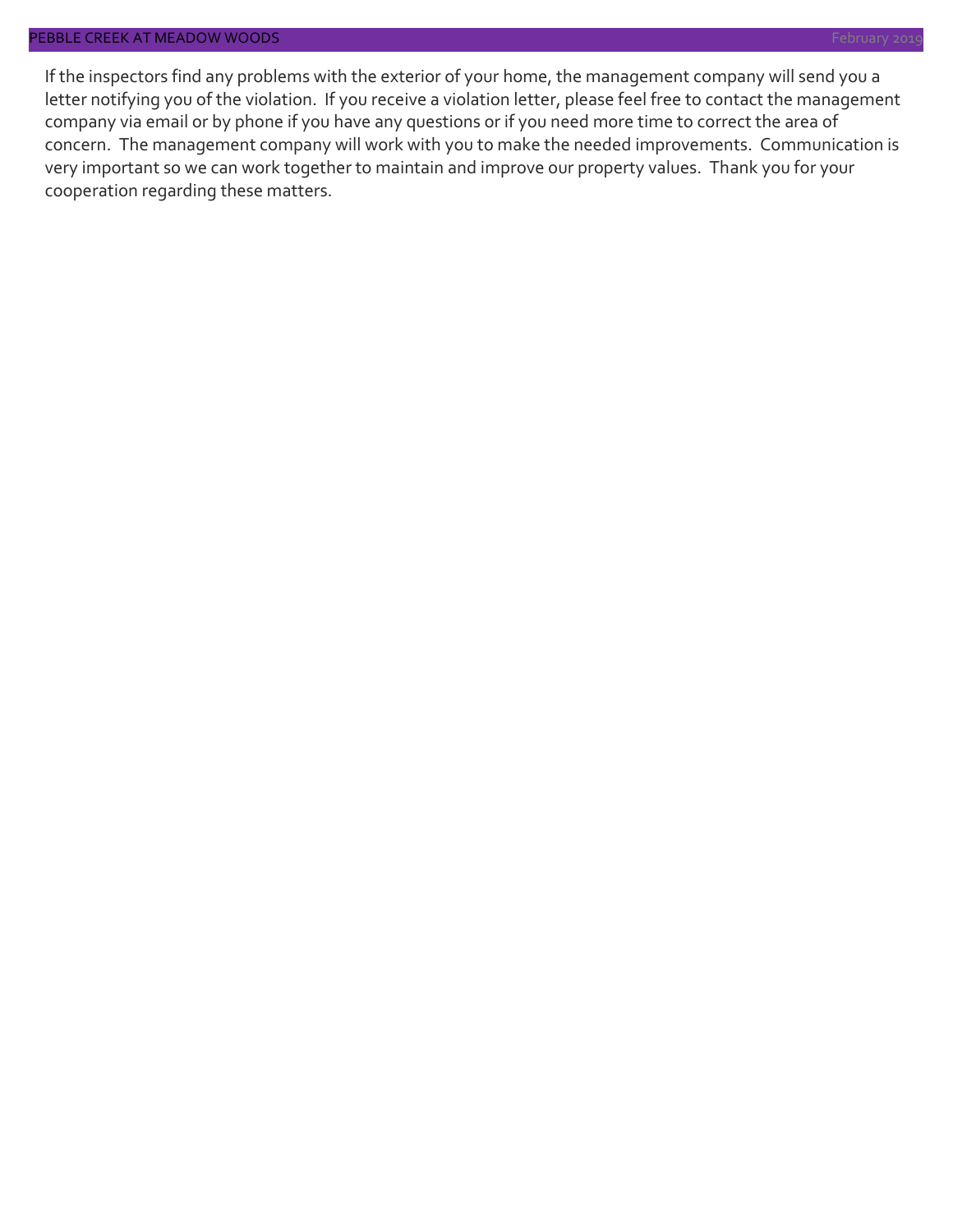#### PEBBLE CREEK AT MEADOW WOODS February 2019 Section 2014 12:00 Section 2014 12:00 Section 2019 Technology 2019

If the inspectors find any problems with the exterior of your home, the management company will send you a letter notifying you of the violation. If you receive a violation letter, please feel free to contact the management company via email or by phone if you have any questions or if you need more time to correct the area of concern. The management company will work with you to make the needed improvements. Communication is very important so we can work together to maintain and improve our property values. Thank you for your cooperation regarding these matters.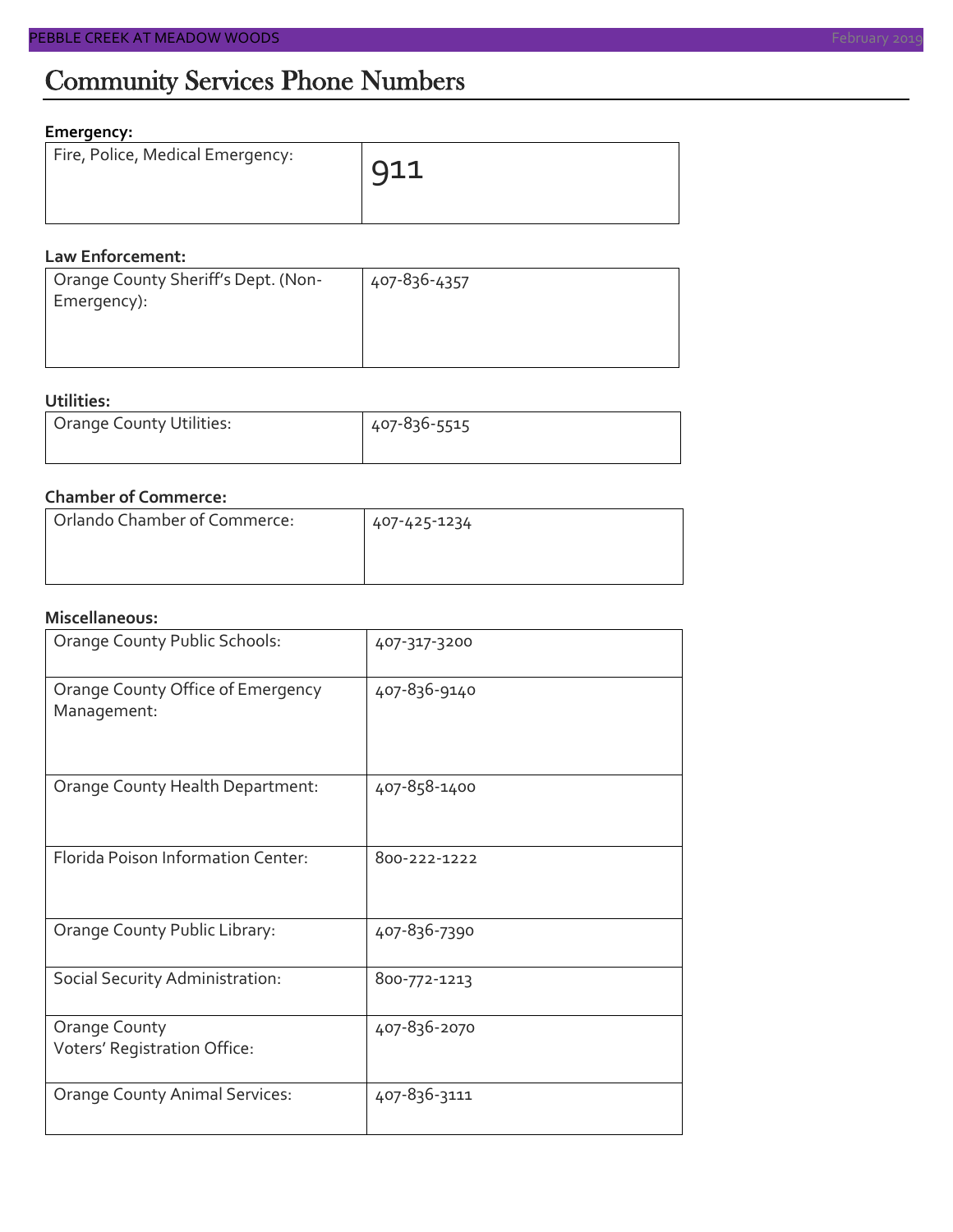#### **Emergency:**

| Fire, Police, Medical Emergency: | 911 |
|----------------------------------|-----|
|                                  |     |

#### **Law Enforcement:**

| Orange County Sheriff's Dept. (Non- | 407-836-4357 |
|-------------------------------------|--------------|
| Emergency):                         |              |
|                                     |              |
|                                     |              |

#### **Utilities:**

| Orange County Utilities: | 407-836-5515 |  |  |
|--------------------------|--------------|--|--|
|                          |              |  |  |

#### **Chamber of Commerce:**

| Orlando Chamber of Commerce: | 407-425-1234 |
|------------------------------|--------------|
|                              |              |

#### **Miscellaneous:**

| Orange County Public Schools:                        | 407-317-3200 |
|------------------------------------------------------|--------------|
| Orange County Office of Emergency<br>Management:     | 407-836-9140 |
| Orange County Health Department:                     | 407-858-1400 |
| Florida Poison Information Center:                   | 800-222-1222 |
| Orange County Public Library:                        | 407-836-7390 |
| Social Security Administration:                      | 800-772-1213 |
| <b>Orange County</b><br>Voters' Registration Office: | 407-836-2070 |
| <b>Orange County Animal Services:</b>                | 407-836-3111 |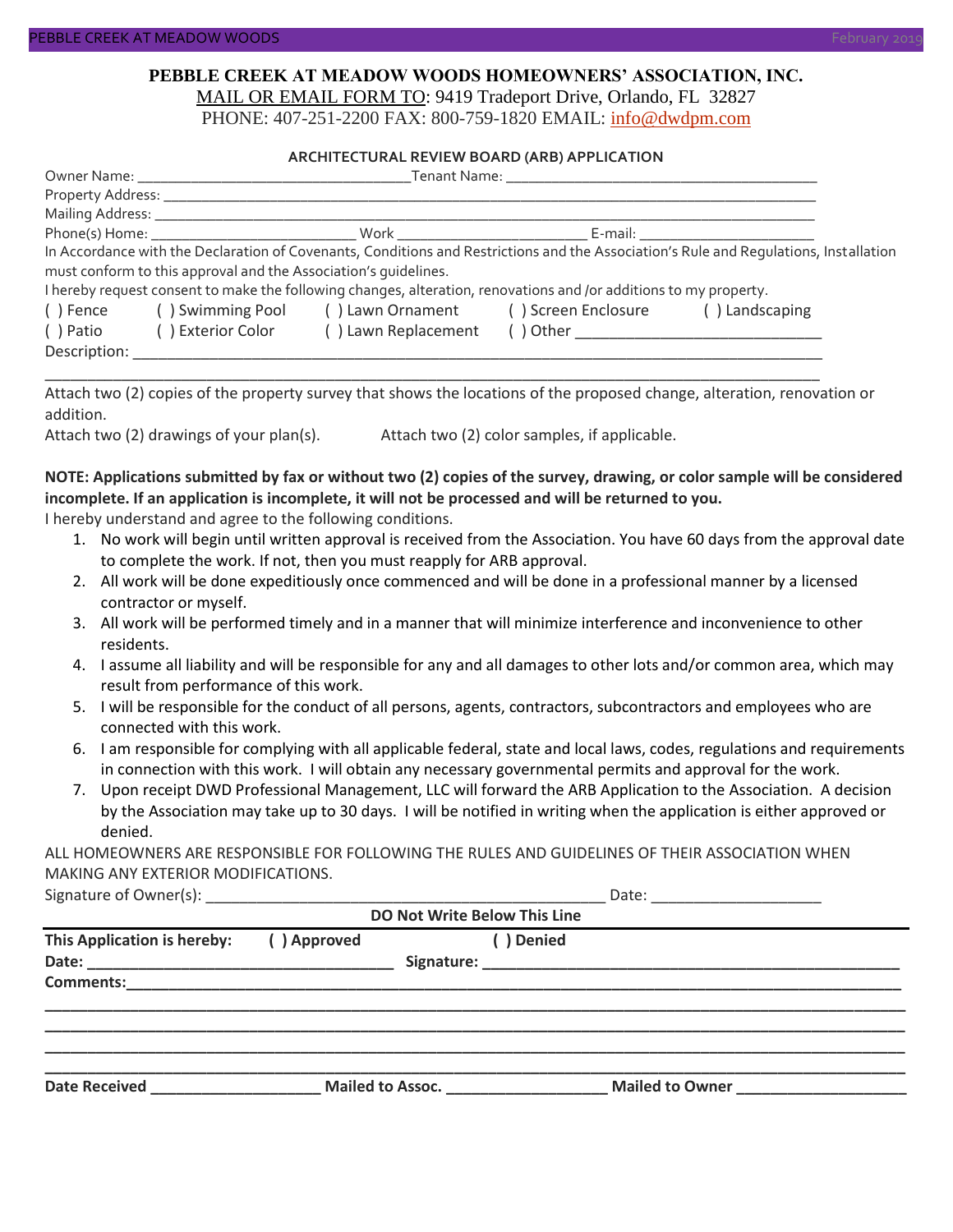#### **PEBBLE CREEK AT MEADOW WOODS HOMEOWNERS' ASSOCIATION, INC.** MAIL OR EMAIL FORM TO: 9419 Tradeport Drive, Orlando, FL 32827

PHONE: 407-251-2200 FAX: 800-759-1820 EMAIL: [info@dwdpm.com](mailto:info@dwdpm.com)

#### **ARCHITECTURAL REVIEW BOARD (ARB) APPLICATION**

|                                                                   | Phone(s) Home: North Mork North Beams Beams E-mail:             |                                                                                                                   |  |                                                                                                                                       |
|-------------------------------------------------------------------|-----------------------------------------------------------------|-------------------------------------------------------------------------------------------------------------------|--|---------------------------------------------------------------------------------------------------------------------------------------|
|                                                                   |                                                                 |                                                                                                                   |  | In Accordance with the Declaration of Covenants, Conditions and Restrictions and the Association's Rule and Requlations, Installation |
|                                                                   | must conform to this approval and the Association's quidelines. |                                                                                                                   |  |                                                                                                                                       |
|                                                                   |                                                                 | I hereby request consent to make the following changes, alteration, renovations and /or additions to my property. |  |                                                                                                                                       |
| () Swimming Pool () Lawn Ornament () Screen Enclosure<br>() Fence |                                                                 |                                                                                                                   |  | () Landscaping                                                                                                                        |
| () Patio                                                          | ( ) Exterior Color                                              | () Lawn Replacement                                                                                               |  |                                                                                                                                       |
| Description:                                                      |                                                                 |                                                                                                                   |  |                                                                                                                                       |

Attach two (2) copies of the property survey that shows the locations of the proposed change, alteration, renovation or addition.

\_\_\_\_\_\_\_\_\_\_\_\_\_\_\_\_\_\_\_\_\_\_\_\_\_\_\_\_\_\_\_\_\_\_\_\_\_\_\_\_\_\_\_\_\_\_\_\_\_\_\_\_\_\_\_\_\_\_\_\_\_\_\_\_\_\_\_\_\_\_\_\_\_\_\_\_\_\_\_\_\_\_\_\_\_\_\_\_\_\_\_

Attach two (2) drawings of your plan(s). Attach two (2) color samples, if applicable.

#### **NOTE: Applications submitted by fax or without two (2) copies of the survey, drawing, or color sample will be considered incomplete. If an application is incomplete, it will not be processed and will be returned to you.**

I hereby understand and agree to the following conditions.

- 1. No work will begin until written approval is received from the Association. You have 60 days from the approval date to complete the work. If not, then you must reapply for ARB approval.
- 2. All work will be done expeditiously once commenced and will be done in a professional manner by a licensed contractor or myself.
- 3. All work will be performed timely and in a manner that will minimize interference and inconvenience to other residents.
- 4. I assume all liability and will be responsible for any and all damages to other lots and/or common area, which may result from performance of this work.
- 5. I will be responsible for the conduct of all persons, agents, contractors, subcontractors and employees who are connected with this work.
- 6. I am responsible for complying with all applicable federal, state and local laws, codes, regulations and requirements in connection with this work. I will obtain any necessary governmental permits and approval for the work.
- 7. Upon receipt DWD Professional Management, LLC will forward the ARB Application to the Association. A decision by the Association may take up to 30 days. I will be notified in writing when the application is either approved or denied.

ALL HOMEOWNERS ARE RESPONSIBLE FOR FOLLOWING THE RULES AND GUIDELINES OF THEIR ASSOCIATION WHEN MAKING ANY EXTERIOR MODIFICATIONS.

Signature of Owner(s):  $\Box$ 

| <b>DO Not Write Below This Line</b> |             |                  |                 |  |  |
|-------------------------------------|-------------|------------------|-----------------|--|--|
| This Application is hereby:         | () Approved | Denied           |                 |  |  |
| <b>Comments:</b>                    |             |                  |                 |  |  |
| <b>Date Received</b>                |             | Mailed to Assoc. | Mailed to Owner |  |  |